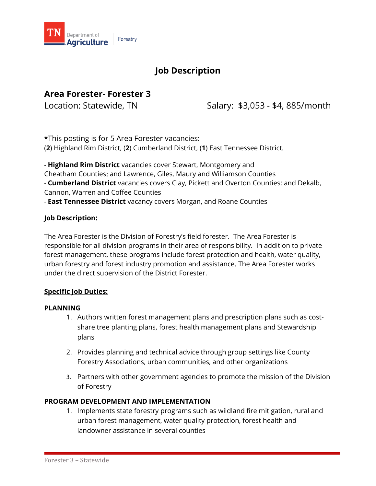

# **Job Description**

# **Area Forester- Forester 3**

Location: Statewide, TN Salary: \$3,053 - \$4, 885/month

**\***This posting is for 5 Area Forester vacancies: (**2**) Highland Rim District, (**2**) Cumberland District, (**1**) East Tennessee District.

- **Highland Rim District** vacancies cover Stewart, Montgomery and Cheatham Counties; and Lawrence, Giles, Maury and Williamson Counties - **Cumberland District** vacancies covers Clay, Pickett and Overton Counties; and Dekalb, Cannon, Warren and Coffee Counties

- **East Tennessee District** vacancy covers Morgan, and Roane Counties

### **Job Description:**

The Area Forester is the Division of Forestry's field forester. The Area Forester is responsible for all division programs in their area of responsibility. In addition to private forest management, these programs include forest protection and health, water quality, urban forestry and forest industry promotion and assistance. The Area Forester works under the direct supervision of the District Forester.

### **Specific Job Duties:**

#### **PLANNING**

- 1. Authors written forest management plans and prescription plans such as costshare tree planting plans, forest health management plans and Stewardship plans
- 2. Provides planning and technical advice through group settings like County Forestry Associations, urban communities, and other organizations
- 3. Partners with other government agencies to promote the mission of the Division of Forestry

#### **PROGRAM DEVELOPMENT AND IMPLEMENTATION**

1. Implements state forestry programs such as wildland fire mitigation, rural and urban forest management, water quality protection, forest health and landowner assistance in several counties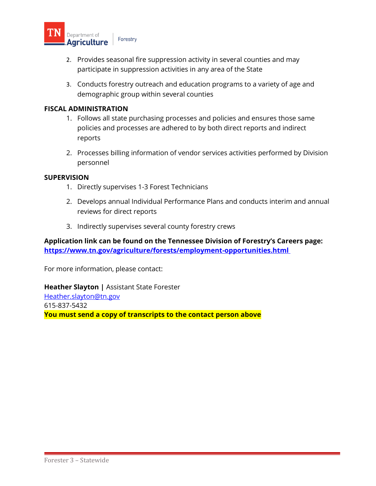

- 2. Provides seasonal fire suppression activity in several counties and may participate in suppression activities in any area of the State
- 3. Conducts forestry outreach and education programs to a variety of age and demographic group within several counties

#### **FISCAL ADMINISTRATION**

- 1. Follows all state purchasing processes and policies and ensures those same policies and processes are adhered to by both direct reports and indirect reports
- 2. Processes billing information of vendor services activities performed by Division personnel

#### **SUPERVISION**

- 1. Directly supervises 1-3 Forest Technicians
- 2. Develops annual Individual Performance Plans and conducts interim and annual reviews for direct reports
- 3. Indirectly supervises several county forestry crews

### **Application link can be found on the Tennessee Division of Forestry's Careers page: <https://www.tn.gov/agriculture/forests/employment-opportunities.html>**

For more information, please contact:

**Heather Slayton |** Assistant State Forester [Heather.slayton@tn.gov](mailto:Heather.slayton@tn.gov) 615-837-5432 **You must send a copy of transcripts to the contact person above**